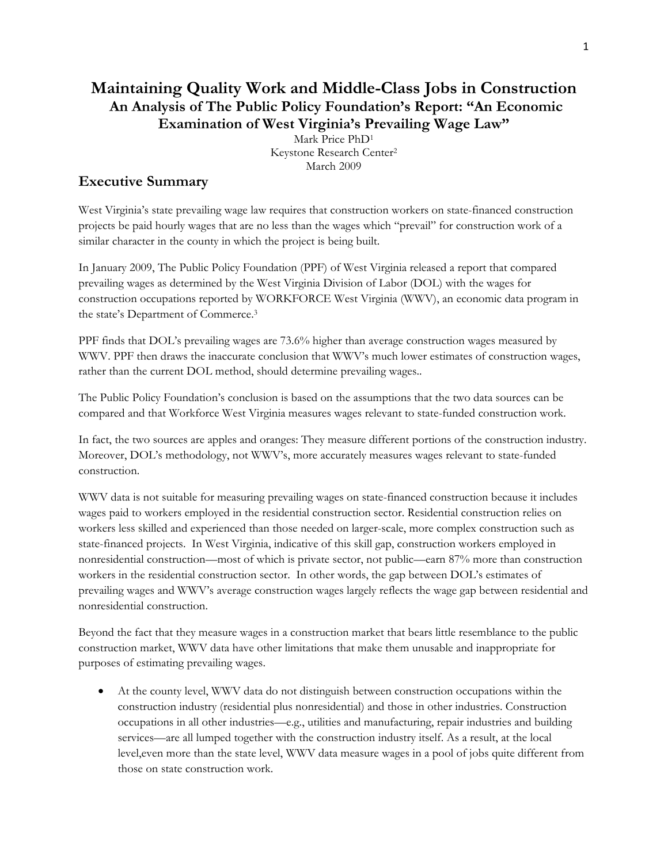## **Maintaining Quality Work and Middle-Class Jobs in Construction An Analysis of The Public Policy Foundation's Report: "An Economic Examination of West Virginia's Prevailing Wage Law"**

Mark Price PhD1 Keystone Research Center2 March 2009

### **Executive Summary**

West Virginia's state prevailing wage law requires that construction workers on state-financed construction projects be paid hourly wages that are no less than the wages which "prevail" for construction work of a similar character in the county in which the project is being built.

In January 2009, The Public Policy Foundation (PPF) of West Virginia released a report that compared prevailing wages as determined by the West Virginia Division of Labor (DOL) with the wages for construction occupations reported by WORKFORCE West Virginia (WWV), an economic data program in the state's Department of Commerce.3

PPF finds that DOL's prevailing wages are 73.6% higher than average construction wages measured by WWV. PPF then draws the inaccurate conclusion that WWV's much lower estimates of construction wages, rather than the current DOL method, should determine prevailing wages..

The Public Policy Foundation's conclusion is based on the assumptions that the two data sources can be compared and that Workforce West Virginia measures wages relevant to state-funded construction work.

In fact, the two sources are apples and oranges: They measure different portions of the construction industry. Moreover, DOL's methodology, not WWV's, more accurately measures wages relevant to state-funded construction.

WWV data is not suitable for measuring prevailing wages on state-financed construction because it includes wages paid to workers employed in the residential construction sector. Residential construction relies on workers less skilled and experienced than those needed on larger-scale, more complex construction such as state-financed projects. In West Virginia, indicative of this skill gap, construction workers employed in nonresidential construction—most of which is private sector, not public—earn 87% more than construction workers in the residential construction sector. In other words, the gap between DOL's estimates of prevailing wages and WWV's average construction wages largely reflects the wage gap between residential and nonresidential construction.

Beyond the fact that they measure wages in a construction market that bears little resemblance to the public construction market, WWV data have other limitations that make them unusable and inappropriate for purposes of estimating prevailing wages.

 At the county level, WWV data do not distinguish between construction occupations within the construction industry (residential plus nonresidential) and those in other industries. Construction occupations in all other industries—e.g., utilities and manufacturing, repair industries and building services—are all lumped together with the construction industry itself. As a result, at the local level,even more than the state level, WWV data measure wages in a pool of jobs quite different from those on state construction work.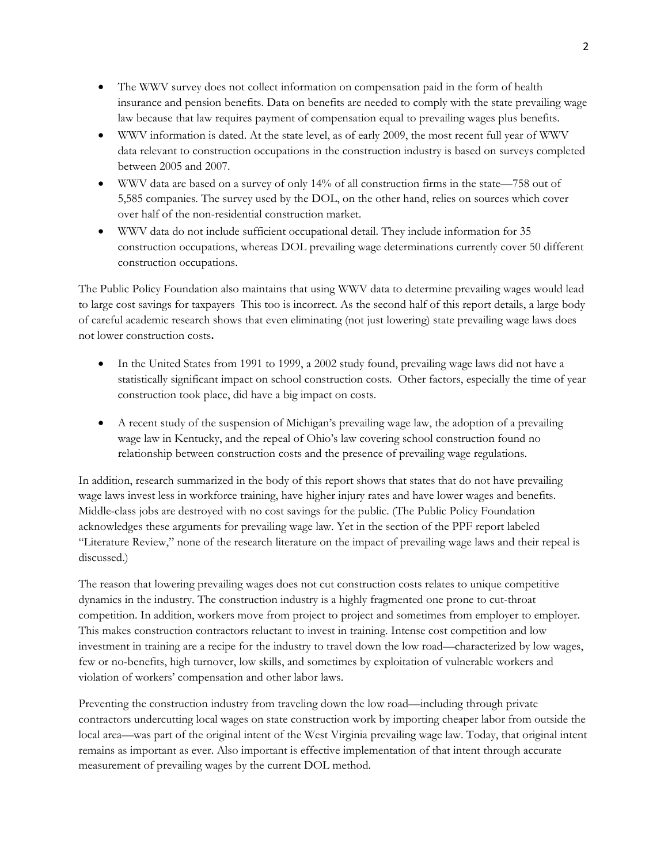- The WWV survey does not collect information on compensation paid in the form of health insurance and pension benefits. Data on benefits are needed to comply with the state prevailing wage law because that law requires payment of compensation equal to prevailing wages plus benefits.
- WWV information is dated. At the state level, as of early 2009, the most recent full year of WWV data relevant to construction occupations in the construction industry is based on surveys completed between 2005 and 2007.
- WWV data are based on a survey of only 14% of all construction firms in the state—758 out of 5,585 companies. The survey used by the DOL, on the other hand, relies on sources which cover over half of the non-residential construction market.
- WWV data do not include sufficient occupational detail. They include information for 35 construction occupations, whereas DOL prevailing wage determinations currently cover 50 different construction occupations.

The Public Policy Foundation also maintains that using WWV data to determine prevailing wages would lead to large cost savings for taxpayers This too is incorrect. As the second half of this report details, a large body of careful academic research shows that even eliminating (not just lowering) state prevailing wage laws does not lower construction costs**.** 

- In the United States from 1991 to 1999, a 2002 study found, prevailing wage laws did not have a statistically significant impact on school construction costs. Other factors, especially the time of year construction took place, did have a big impact on costs.
- A recent study of the suspension of Michigan's prevailing wage law, the adoption of a prevailing wage law in Kentucky, and the repeal of Ohio's law covering school construction found no relationship between construction costs and the presence of prevailing wage regulations.

In addition, research summarized in the body of this report shows that states that do not have prevailing wage laws invest less in workforce training, have higher injury rates and have lower wages and benefits. Middle-class jobs are destroyed with no cost savings for the public. (The Public Policy Foundation acknowledges these arguments for prevailing wage law. Yet in the section of the PPF report labeled "Literature Review," none of the research literature on the impact of prevailing wage laws and their repeal is discussed.)

The reason that lowering prevailing wages does not cut construction costs relates to unique competitive dynamics in the industry. The construction industry is a highly fragmented one prone to cut-throat competition. In addition, workers move from project to project and sometimes from employer to employer. This makes construction contractors reluctant to invest in training. Intense cost competition and low investment in training are a recipe for the industry to travel down the low road—characterized by low wages, few or no-benefits, high turnover, low skills, and sometimes by exploitation of vulnerable workers and violation of workers' compensation and other labor laws.

Preventing the construction industry from traveling down the low road—including through private contractors undercutting local wages on state construction work by importing cheaper labor from outside the local area—was part of the original intent of the West Virginia prevailing wage law. Today, that original intent remains as important as ever. Also important is effective implementation of that intent through accurate measurement of prevailing wages by the current DOL method.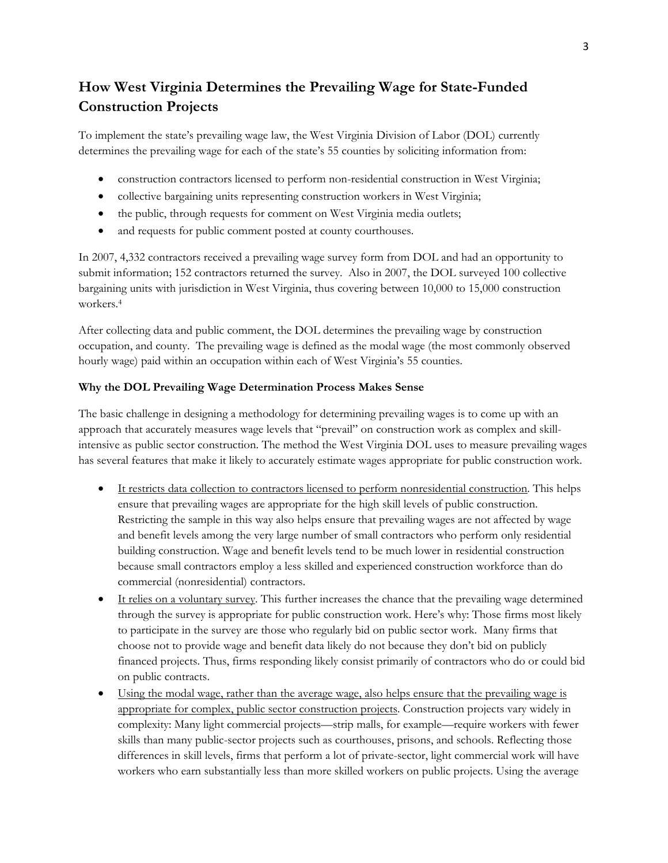# **How West Virginia Determines the Prevailing Wage for State-Funded Construction Projects**

To implement the state's prevailing wage law, the West Virginia Division of Labor (DOL) currently determines the prevailing wage for each of the state's 55 counties by soliciting information from:

- construction contractors licensed to perform non-residential construction in West Virginia;
- collective bargaining units representing construction workers in West Virginia;
- the public, through requests for comment on West Virginia media outlets;
- and requests for public comment posted at county courthouses.

In 2007, 4,332 contractors received a prevailing wage survey form from DOL and had an opportunity to submit information; 152 contractors returned the survey. Also in 2007, the DOL surveyed 100 collective bargaining units with jurisdiction in West Virginia, thus covering between 10,000 to 15,000 construction workers.4

After collecting data and public comment, the DOL determines the prevailing wage by construction occupation, and county. The prevailing wage is defined as the modal wage (the most commonly observed hourly wage) paid within an occupation within each of West Virginia's 55 counties.

#### **Why the DOL Prevailing Wage Determination Process Makes Sense**

The basic challenge in designing a methodology for determining prevailing wages is to come up with an approach that accurately measures wage levels that "prevail" on construction work as complex and skillintensive as public sector construction. The method the West Virginia DOL uses to measure prevailing wages has several features that make it likely to accurately estimate wages appropriate for public construction work.

- It restricts data collection to contractors licensed to perform nonresidential construction. This helps ensure that prevailing wages are appropriate for the high skill levels of public construction. Restricting the sample in this way also helps ensure that prevailing wages are not affected by wage and benefit levels among the very large number of small contractors who perform only residential building construction. Wage and benefit levels tend to be much lower in residential construction because small contractors employ a less skilled and experienced construction workforce than do commercial (nonresidential) contractors.
- It relies on a voluntary survey. This further increases the chance that the prevailing wage determined through the survey is appropriate for public construction work. Here's why: Those firms most likely to participate in the survey are those who regularly bid on public sector work. Many firms that choose not to provide wage and benefit data likely do not because they don't bid on publicly financed projects. Thus, firms responding likely consist primarily of contractors who do or could bid on public contracts.
- Using the modal wage, rather than the average wage, also helps ensure that the prevailing wage is appropriate for complex, public sector construction projects. Construction projects vary widely in complexity: Many light commercial projects—strip malls, for example—require workers with fewer skills than many public-sector projects such as courthouses, prisons, and schools. Reflecting those differences in skill levels, firms that perform a lot of private-sector, light commercial work will have workers who earn substantially less than more skilled workers on public projects. Using the average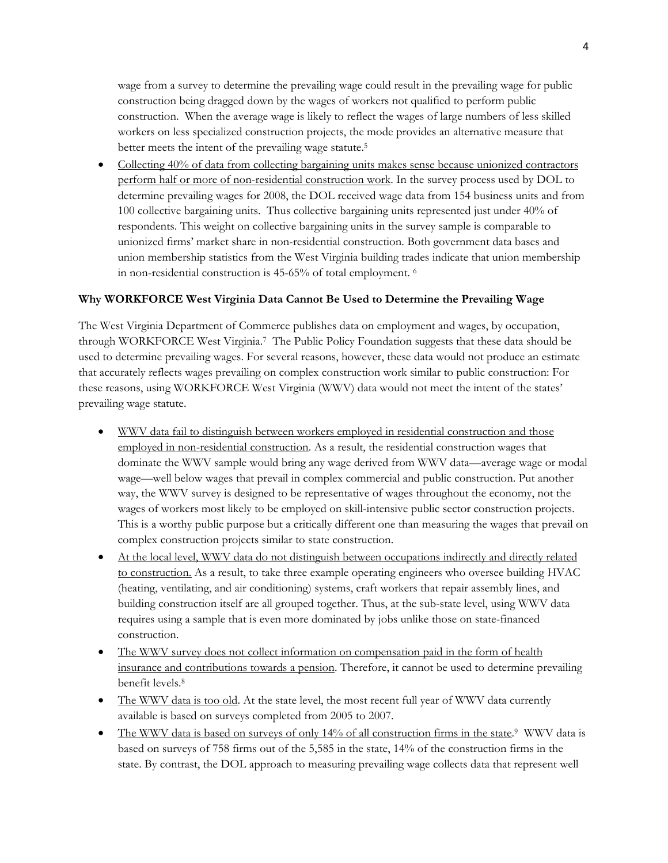wage from a survey to determine the prevailing wage could result in the prevailing wage for public construction being dragged down by the wages of workers not qualified to perform public construction. When the average wage is likely to reflect the wages of large numbers of less skilled workers on less specialized construction projects, the mode provides an alternative measure that better meets the intent of the prevailing wage statute.<sup>5</sup>

• Collecting 40% of data from collecting bargaining units makes sense because unionized contractors perform half or more of non-residential construction work. In the survey process used by DOL to determine prevailing wages for 2008, the DOL received wage data from 154 business units and from 100 collective bargaining units. Thus collective bargaining units represented just under 40% of respondents. This weight on collective bargaining units in the survey sample is comparable to unionized firms' market share in non-residential construction. Both government data bases and union membership statistics from the West Virginia building trades indicate that union membership in non-residential construction is 45-65% of total employment. 6

#### **Why WORKFORCE West Virginia Data Cannot Be Used to Determine the Prevailing Wage**

The West Virginia Department of Commerce publishes data on employment and wages, by occupation, through WORKFORCE West Virginia.7 The Public Policy Foundation suggests that these data should be used to determine prevailing wages. For several reasons, however, these data would not produce an estimate that accurately reflects wages prevailing on complex construction work similar to public construction: For these reasons, using WORKFORCE West Virginia (WWV) data would not meet the intent of the states' prevailing wage statute.

- WWV data fail to distinguish between workers employed in residential construction and those employed in non-residential construction. As a result, the residential construction wages that dominate the WWV sample would bring any wage derived from WWV data—average wage or modal wage—well below wages that prevail in complex commercial and public construction. Put another way, the WWV survey is designed to be representative of wages throughout the economy, not the wages of workers most likely to be employed on skill-intensive public sector construction projects. This is a worthy public purpose but a critically different one than measuring the wages that prevail on complex construction projects similar to state construction.
- At the local level, WWV data do not distinguish between occupations indirectly and directly related to construction. As a result, to take three example operating engineers who oversee building HVAC (heating, ventilating, and air conditioning) systems, craft workers that repair assembly lines, and building construction itself are all grouped together. Thus, at the sub-state level, using WWV data requires using a sample that is even more dominated by jobs unlike those on state-financed construction.
- The WWV survey does not collect information on compensation paid in the form of health insurance and contributions towards a pension. Therefore, it cannot be used to determine prevailing benefit levels.8
- The WWV data is too old. At the state level, the most recent full year of WWV data currently available is based on surveys completed from 2005 to 2007.
- The WWV data is based on surveys of only 14% of all construction firms in the state.<sup>9</sup> WWV data is based on surveys of 758 firms out of the 5,585 in the state, 14% of the construction firms in the state. By contrast, the DOL approach to measuring prevailing wage collects data that represent well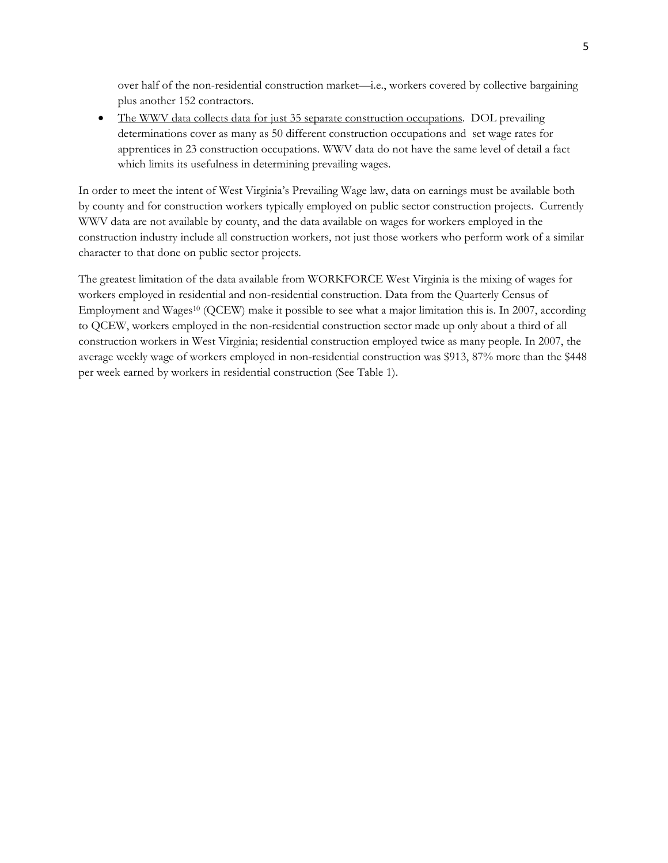over half of the non-residential construction market—i.e., workers covered by collective bargaining plus another 152 contractors.

 The WWV data collects data for just 35 separate construction occupations. DOL prevailing determinations cover as many as 50 different construction occupations and set wage rates for apprentices in 23 construction occupations. WWV data do not have the same level of detail a fact which limits its usefulness in determining prevailing wages.

In order to meet the intent of West Virginia's Prevailing Wage law, data on earnings must be available both by county and for construction workers typically employed on public sector construction projects. Currently WWV data are not available by county, and the data available on wages for workers employed in the construction industry include all construction workers, not just those workers who perform work of a similar character to that done on public sector projects.

The greatest limitation of the data available from WORKFORCE West Virginia is the mixing of wages for workers employed in residential and non-residential construction. Data from the Quarterly Census of Employment and Wages<sup>10</sup> (QCEW) make it possible to see what a major limitation this is. In 2007, according to QCEW, workers employed in the non-residential construction sector made up only about a third of all construction workers in West Virginia; residential construction employed twice as many people. In 2007, the average weekly wage of workers employed in non-residential construction was \$913, 87% more than the \$448 per week earned by workers in residential construction (See Table 1).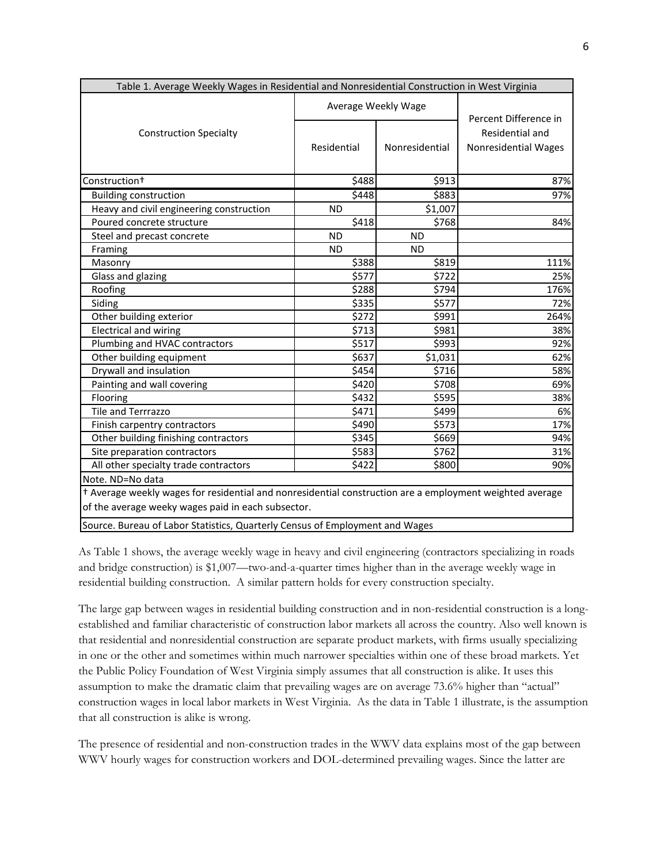| Table 1. Average Weekly Wages in Residential and Nonresidential Construction in West Virginia                                                                  |                     |                |                                                |
|----------------------------------------------------------------------------------------------------------------------------------------------------------------|---------------------|----------------|------------------------------------------------|
|                                                                                                                                                                | Average Weekly Wage |                | Percent Difference in                          |
| <b>Construction Specialty</b>                                                                                                                                  | Residential         | Nonresidential | Residential and<br><b>Nonresidential Wages</b> |
| Construction <sup>+</sup>                                                                                                                                      | \$488               | \$913          | 87%                                            |
| <b>Building construction</b>                                                                                                                                   | \$448               | \$883          | 97%                                            |
| Heavy and civil engineering construction                                                                                                                       | <b>ND</b>           | \$1,007        |                                                |
| Poured concrete structure                                                                                                                                      | $\overline{$}418$   | \$768          | 84%                                            |
| Steel and precast concrete                                                                                                                                     | <b>ND</b>           | <b>ND</b>      |                                                |
| Framing                                                                                                                                                        | <b>ND</b>           | <b>ND</b>      |                                                |
| Masonry                                                                                                                                                        | \$388               | \$819          | 111%                                           |
| Glass and glazing                                                                                                                                              | \$577               | \$722          | 25%                                            |
| Roofing                                                                                                                                                        | \$288               | \$794          | 176%                                           |
| Siding                                                                                                                                                         | \$335               | \$577          | 72%                                            |
| Other building exterior                                                                                                                                        | \$272               | \$991          | 264%                                           |
| <b>Electrical and wiring</b>                                                                                                                                   | \$713               | \$981          | 38%                                            |
| Plumbing and HVAC contractors                                                                                                                                  | \$517               | \$993          | 92%                                            |
| Other building equipment                                                                                                                                       | \$637               | \$1,031        | 62%                                            |
| Drywall and insulation                                                                                                                                         | \$454               | \$716          | 58%                                            |
| Painting and wall covering                                                                                                                                     | \$420               | \$708          | 69%                                            |
| Flooring                                                                                                                                                       | \$432               | \$595          | 38%                                            |
| Tile and Terrrazzo                                                                                                                                             | \$471               | \$499          | 6%                                             |
| Finish carpentry contractors                                                                                                                                   | \$490               | \$573          | 17%                                            |
| Other building finishing contractors                                                                                                                           | \$345               | \$669          | 94%                                            |
| Site preparation contractors                                                                                                                                   | \$583               | \$762          | 31%                                            |
| All other specialty trade contractors                                                                                                                          | \$422               | \$800          | 90%                                            |
| Note. ND=No data                                                                                                                                               |                     |                |                                                |
| t Average weekly wages for residential and nonresidential construction are a employment weighted average<br>of the average weeky wages paid in each subsector. |                     |                |                                                |
| Source. Bureau of Labor Statistics, Quarterly Census of Employment and Wages                                                                                   |                     |                |                                                |

As Table 1 shows, the average weekly wage in heavy and civil engineering (contractors specializing in roads and bridge construction) is \$1,007—two-and-a-quarter times higher than in the average weekly wage in residential building construction. A similar pattern holds for every construction specialty.

The large gap between wages in residential building construction and in non-residential construction is a longestablished and familiar characteristic of construction labor markets all across the country. Also well known is that residential and nonresidential construction are separate product markets, with firms usually specializing in one or the other and sometimes within much narrower specialties within one of these broad markets. Yet the Public Policy Foundation of West Virginia simply assumes that all construction is alike. It uses this assumption to make the dramatic claim that prevailing wages are on average 73.6% higher than "actual" construction wages in local labor markets in West Virginia. As the data in Table 1 illustrate, is the assumption that all construction is alike is wrong.

The presence of residential and non-construction trades in the WWV data explains most of the gap between WWV hourly wages for construction workers and DOL-determined prevailing wages. Since the latter are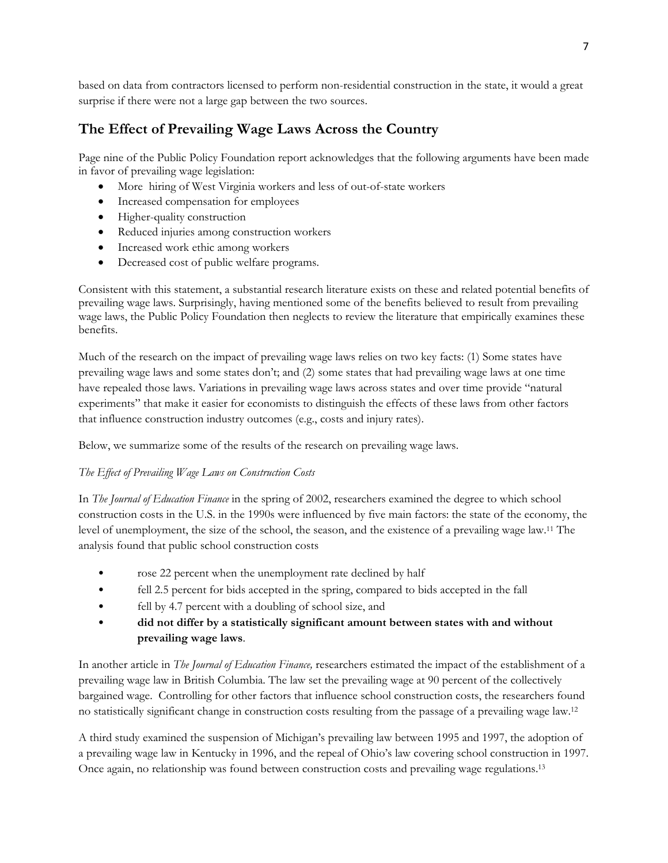based on data from contractors licensed to perform non-residential construction in the state, it would a great surprise if there were not a large gap between the two sources.

### **The Effect of Prevailing Wage Laws Across the Country**

Page nine of the Public Policy Foundation report acknowledges that the following arguments have been made in favor of prevailing wage legislation:

- More hiring of West Virginia workers and less of out-of-state workers
- Increased compensation for employees
- Higher-quality construction
- Reduced injuries among construction workers
- Increased work ethic among workers
- Decreased cost of public welfare programs.

Consistent with this statement, a substantial research literature exists on these and related potential benefits of prevailing wage laws. Surprisingly, having mentioned some of the benefits believed to result from prevailing wage laws, the Public Policy Foundation then neglects to review the literature that empirically examines these benefits.

Much of the research on the impact of prevailing wage laws relies on two key facts: (1) Some states have prevailing wage laws and some states don't; and (2) some states that had prevailing wage laws at one time have repealed those laws. Variations in prevailing wage laws across states and over time provide "natural experiments" that make it easier for economists to distinguish the effects of these laws from other factors that influence construction industry outcomes (e.g., costs and injury rates).

Below, we summarize some of the results of the research on prevailing wage laws.

#### *The Effect of Prevailing Wage Laws on Construction Costs*

In *The Journal of Education Finance* in the spring of 2002, researchers examined the degree to which school construction costs in the U.S. in the 1990s were influenced by five main factors: the state of the economy, the level of unemployment, the size of the school, the season, and the existence of a prevailing wage law.11 The analysis found that public school construction costs

- rose 22 percent when the unemployment rate declined by half
- fell 2.5 percent for bids accepted in the spring, compared to bids accepted in the fall
- fell by 4.7 percent with a doubling of school size, and
- **did not differ by a statistically significant amount between states with and without prevailing wage laws**.

In another article in *The Journal of Education Finance,* researchers estimated the impact of the establishment of a prevailing wage law in British Columbia. The law set the prevailing wage at 90 percent of the collectively bargained wage. Controlling for other factors that influence school construction costs, the researchers found no statistically significant change in construction costs resulting from the passage of a prevailing wage law.12

A third study examined the suspension of Michigan's prevailing law between 1995 and 1997, the adoption of a prevailing wage law in Kentucky in 1996, and the repeal of Ohio's law covering school construction in 1997. Once again, no relationship was found between construction costs and prevailing wage regulations.13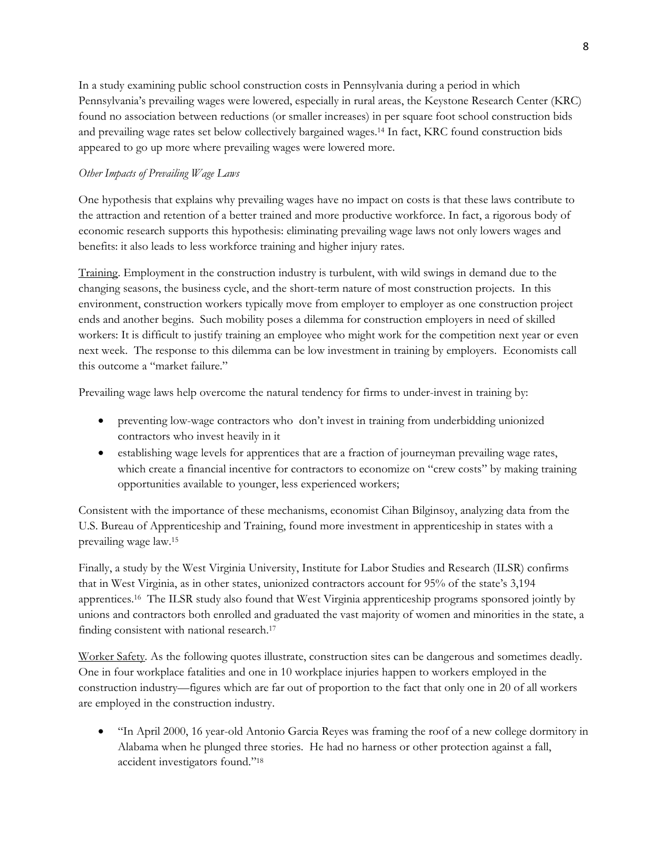In a study examining public school construction costs in Pennsylvania during a period in which Pennsylvania's prevailing wages were lowered, especially in rural areas, the Keystone Research Center (KRC) found no association between reductions (or smaller increases) in per square foot school construction bids and prevailing wage rates set below collectively bargained wages.14 In fact, KRC found construction bids appeared to go up more where prevailing wages were lowered more.

#### *Other Impacts of Prevailing Wage Laws*

One hypothesis that explains why prevailing wages have no impact on costs is that these laws contribute to the attraction and retention of a better trained and more productive workforce. In fact, a rigorous body of economic research supports this hypothesis: eliminating prevailing wage laws not only lowers wages and benefits: it also leads to less workforce training and higher injury rates.

Training. Employment in the construction industry is turbulent, with wild swings in demand due to the changing seasons, the business cycle, and the short-term nature of most construction projects. In this environment, construction workers typically move from employer to employer as one construction project ends and another begins. Such mobility poses a dilemma for construction employers in need of skilled workers: It is difficult to justify training an employee who might work for the competition next year or even next week. The response to this dilemma can be low investment in training by employers. Economists call this outcome a "market failure."

Prevailing wage laws help overcome the natural tendency for firms to under-invest in training by:

- preventing low-wage contractors who don't invest in training from underbidding unionized contractors who invest heavily in it
- establishing wage levels for apprentices that are a fraction of journeyman prevailing wage rates, which create a financial incentive for contractors to economize on "crew costs" by making training opportunities available to younger, less experienced workers;

Consistent with the importance of these mechanisms, economist Cihan Bilginsoy, analyzing data from the U.S. Bureau of Apprenticeship and Training, found more investment in apprenticeship in states with a prevailing wage law.15

Finally, a study by the West Virginia University, Institute for Labor Studies and Research (ILSR) confirms that in West Virginia, as in other states, unionized contractors account for 95% of the state's 3,194 apprentices.16 The ILSR study also found that West Virginia apprenticeship programs sponsored jointly by unions and contractors both enrolled and graduated the vast majority of women and minorities in the state, a finding consistent with national research.17

Worker Safety*.* As the following quotes illustrate, construction sites can be dangerous and sometimes deadly. One in four workplace fatalities and one in 10 workplace injuries happen to workers employed in the construction industry—figures which are far out of proportion to the fact that only one in 20 of all workers are employed in the construction industry.

 "In April 2000, 16 year-old Antonio Garcia Reyes was framing the roof of a new college dormitory in Alabama when he plunged three stories. He had no harness or other protection against a fall, accident investigators found."18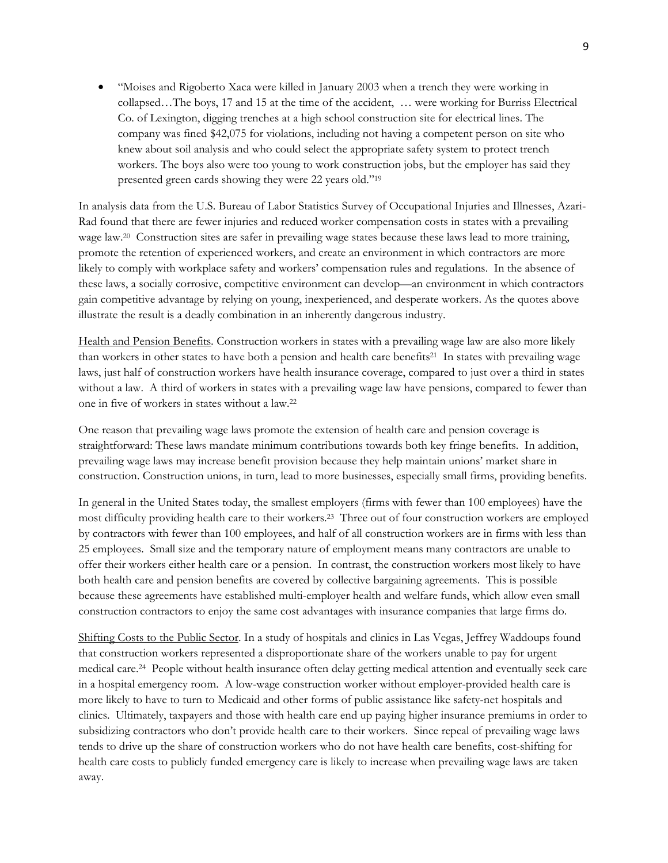"Moises and Rigoberto Xaca were killed in January 2003 when a trench they were working in collapsed…The boys, 17 and 15 at the time of the accident, … were working for Burriss Electrical Co. of Lexington, digging trenches at a high school construction site for electrical lines. The company was fined \$42,075 for violations, including not having a competent person on site who knew about soil analysis and who could select the appropriate safety system to protect trench workers. The boys also were too young to work construction jobs, but the employer has said they presented green cards showing they were 22 years old."19

In analysis data from the U.S. Bureau of Labor Statistics Survey of Occupational Injuries and Illnesses, Azari-Rad found that there are fewer injuries and reduced worker compensation costs in states with a prevailing wage law.<sup>20</sup> Construction sites are safer in prevailing wage states because these laws lead to more training, promote the retention of experienced workers, and create an environment in which contractors are more likely to comply with workplace safety and workers' compensation rules and regulations. In the absence of these laws, a socially corrosive, competitive environment can develop—an environment in which contractors gain competitive advantage by relying on young, inexperienced, and desperate workers. As the quotes above illustrate the result is a deadly combination in an inherently dangerous industry.

Health and Pension Benefits*.* Construction workers in states with a prevailing wage law are also more likely than workers in other states to have both a pension and health care benefits21 In states with prevailing wage laws, just half of construction workers have health insurance coverage, compared to just over a third in states without a law. A third of workers in states with a prevailing wage law have pensions, compared to fewer than one in five of workers in states without a law.22

One reason that prevailing wage laws promote the extension of health care and pension coverage is straightforward: These laws mandate minimum contributions towards both key fringe benefits. In addition, prevailing wage laws may increase benefit provision because they help maintain unions' market share in construction. Construction unions, in turn, lead to more businesses, especially small firms, providing benefits.

In general in the United States today, the smallest employers (firms with fewer than 100 employees) have the most difficulty providing health care to their workers.23 Three out of four construction workers are employed by contractors with fewer than 100 employees, and half of all construction workers are in firms with less than 25 employees. Small size and the temporary nature of employment means many contractors are unable to offer their workers either health care or a pension. In contrast, the construction workers most likely to have both health care and pension benefits are covered by collective bargaining agreements. This is possible because these agreements have established multi-employer health and welfare funds, which allow even small construction contractors to enjoy the same cost advantages with insurance companies that large firms do.

Shifting Costs to the Public Sector. In a study of hospitals and clinics in Las Vegas, Jeffrey Waddoups found that construction workers represented a disproportionate share of the workers unable to pay for urgent medical care.24 People without health insurance often delay getting medical attention and eventually seek care in a hospital emergency room. A low-wage construction worker without employer-provided health care is more likely to have to turn to Medicaid and other forms of public assistance like safety-net hospitals and clinics. Ultimately, taxpayers and those with health care end up paying higher insurance premiums in order to subsidizing contractors who don't provide health care to their workers. Since repeal of prevailing wage laws tends to drive up the share of construction workers who do not have health care benefits, cost-shifting for health care costs to publicly funded emergency care is likely to increase when prevailing wage laws are taken away.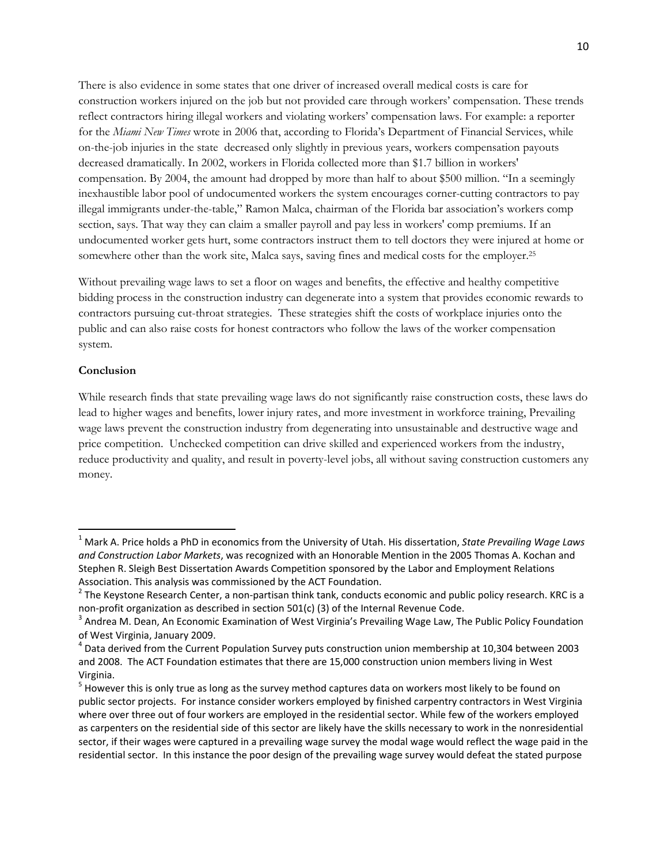There is also evidence in some states that one driver of increased overall medical costs is care for construction workers injured on the job but not provided care through workers' compensation. These trends reflect contractors hiring illegal workers and violating workers' compensation laws. For example: a reporter for the *Miami New Times* wrote in 2006 that, according to Florida's Department of Financial Services, while on-the-job injuries in the state decreased only slightly in previous years, workers compensation payouts decreased dramatically. In 2002, workers in Florida collected more than \$1.7 billion in workers' compensation. By 2004, the amount had dropped by more than half to about \$500 million. "In a seemingly inexhaustible labor pool of undocumented workers the system encourages corner-cutting contractors to pay illegal immigrants under-the-table," Ramon Malca, chairman of the Florida bar association's workers comp section, says. That way they can claim a smaller payroll and pay less in workers' comp premiums. If an undocumented worker gets hurt, some contractors instruct them to tell doctors they were injured at home or somewhere other than the work site, Malca says, saving fines and medical costs for the employer.25

Without prevailing wage laws to set a floor on wages and benefits, the effective and healthy competitive bidding process in the construction industry can degenerate into a system that provides economic rewards to contractors pursuing cut-throat strategies. These strategies shift the costs of workplace injuries onto the public and can also raise costs for honest contractors who follow the laws of the worker compensation system.

#### **Conclusion**

While research finds that state prevailing wage laws do not significantly raise construction costs, these laws do lead to higher wages and benefits, lower injury rates, and more investment in workforce training, Prevailing wage laws prevent the construction industry from degenerating into unsustainable and destructive wage and price competition. Unchecked competition can drive skilled and experienced workers from the industry, reduce productivity and quality, and result in poverty-level jobs, all without saving construction customers any money.

<sup>1</sup> Mark A. Price holds a PhD in economics from the University of Utah. His dissertation, *State Prevailing Wage Laws and Construction Labor Markets*, was recognized with an Honorable Mention in the 2005 Thomas A. Kochan and Stephen R. Sleigh Best Dissertation Awards Competition sponsored by the Labor and Employment Relations

Association. This analysis was commissioned by the ACT Foundation.<br><sup>2</sup> The Keystone Research Center, a non-partisan think tank, conducts economic and public policy research. KRC is a<br>non-profit organization as described i

 $3$  Andrea M. Dean, An Economic Examination of West Virginia's Prevailing Wage Law, The Public Policy Foundation of West Virginia, January 2009.<br><sup>4</sup> Data derived from the Current Population Survey puts construction union membership at 10,304 between 2003

and 2008. The ACT Foundation estimates that there are 15,000 construction union members living in West Virginia.<br><sup>5</sup> However this is only true as long as the survey method captures data on workers most likely to be found on

public sector projects. For instance consider workers employed by finished carpentry contractors in West Virginia where over three out of four workers are employed in the residential sector. While few of the workers employed as carpenters on the residential side of this sector are likely have the skills necessary to work in the nonresidential sector, if their wages were captured in a prevailing wage survey the modal wage would reflect the wage paid in the residential sector. In this instance the poor design of the prevailing wage survey would defeat the stated purpose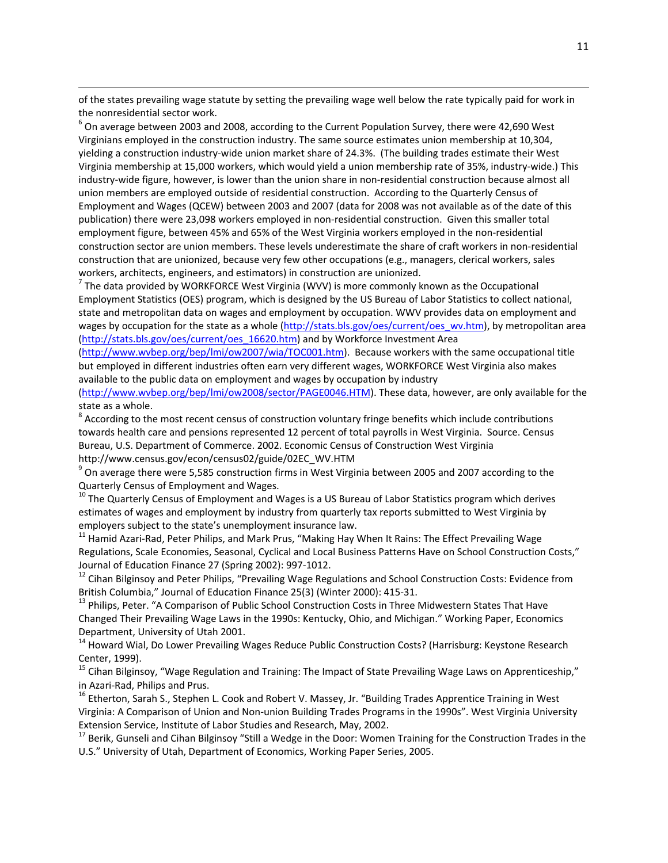of the states prevailing wage statute by setting the prevailing wage well below the rate typically paid for work in the nonresidential sector work.<br>
<sup>6</sup> On average between 2003 and 2008, according to the Current Population Survey, there were 42,690 West

<u> 1989 - Johann Stoff, amerikansk politiker (d. 1989)</u>

Virginians employed in the construction industry. The same source estimates union membership at 10,304, yielding a construction industry‐wide union market share of 24.3%. (The building trades estimate their West Virginia membership at 15,000 workers, which would yield a union membership rate of 35%, industry‐wide.) This industry-wide figure, however, is lower than the union share in non-residential construction because almost all union members are employed outside of residential construction. According to the Quarterly Census of Employment and Wages (QCEW) between 2003 and 2007 (data for 2008 was not available as of the date of this publication) there were 23,098 workers employed in non-residential construction. Given this smaller total employment figure, between 45% and 65% of the West Virginia workers employed in the non‐residential construction sector are union members. These levels underestimate the share of craft workers in non‐residential construction that are unionized, because very few other occupations (e.g., managers, clerical workers, sales workers, architects, engineers, and estimators) in construction are unionized.<br><sup>7</sup> The data provided by WORKFORCE West Virginia (WVV) is more commonly known as the Occupational

Employment Statistics (OES) program, which is designed by the US Bureau of Labor Statistics to collect national, state and metropolitan data on wages and employment by occupation. WWV provides data on employment and wages by occupation for the state as a whole (http://stats.bls.gov/oes/current/oes\_wv.htm), by metropolitan area (http://stats.bls.gov/oes/current/oes\_16620.htm) and by Workforce Investment Area

(http://www.wvbep.org/bep/lmi/ow2007/wia/TOC001.htm). Because workers with the same occupational title but employed in different industries often earn very different wages, WORKFORCE West Virginia also makes available to the public data on employment and wages by occupation by industry

(http://www.wvbep.org/bep/lmi/ow2008/sector/PAGE0046.HTM). These data, however, are only available for the state as a whole.<br><sup>8</sup> According to the most recent census of construction voluntary fringe benefits which include contributions

towards health care and pensions represented 12 percent of total payrolls in West Virginia. Source. Census Bureau, U.S. Department of Commerce. 2002. Economic Census of Construction West Virginia http://www.census.gov/econ/census02/guide/02EC\_WV.HTM<br><sup>9</sup> On average there were 5,585 construction firms in West Virginia between 2005 and 2007 according to the

Quarterly Census of Employment and Wages.<br><sup>10</sup> The Quarterly Census of Employment and Wages is a US Bureau of Labor Statistics program which derives

estimates of wages and employment by industry from quarterly tax reports submitted to West Virginia by employers subject to the state's unemployment insurance law.<br><sup>11</sup> Hamid Azari-Rad, Peter Philips, and Mark Prus, "Making Hay When It Rains: The Effect Prevailing Wage

Regulations, Scale Economies, Seasonal, Cyclical and Local Business Patterns Have on School Construction Costs," Journal of Education Finance 27 (Spring 2002): 997-1012.<br><sup>12</sup> Cihan Bilginsoy and Peter Philips, "Prevailing Wage Regulations and School Construction Costs: Evidence from

British Columbia," Journal of Education Finance 25(3) (Winter 2000): 415-31.<br><sup>13</sup> Philips, Peter. "A Comparison of Public School Construction Costs in Three Midwestern States That Have Changed Their Prevailing Wage Laws in the 1990s: Kentucky, Ohio, and Michigan." Working Paper, Economics

Department, University of Utah 2001.<br><sup>14</sup> Howard Wial, Do Lower Prevailing Wages Reduce Public Construction Costs? (Harrisburg: Keystone Research<br>Center, 1999).

<sup>15</sup> Cihan Bilginsoy, "Wage Regulation and Training: The Impact of State Prevailing Wage Laws on Apprenticeship,"<br>in Azari-Rad, Philips and Prus.

<sup>16</sup> Etherton, Sarah S., Stephen L. Cook and Robert V. Massey, Jr. "Building Trades Apprentice Training in West Virginia: A Comparison of Union and Non‐union Building Trades Programs in the 1990s". West Virginia University Extension Service, Institute of Labor Studies and Research, May, 2002.<br><sup>17</sup> Berik, Gunseli and Cihan Bilginsoy "Still a Wedge in the Door: Women Training for the Construction Trades in the

U.S." University of Utah, Department of Economics, Working Paper Series, 2005.